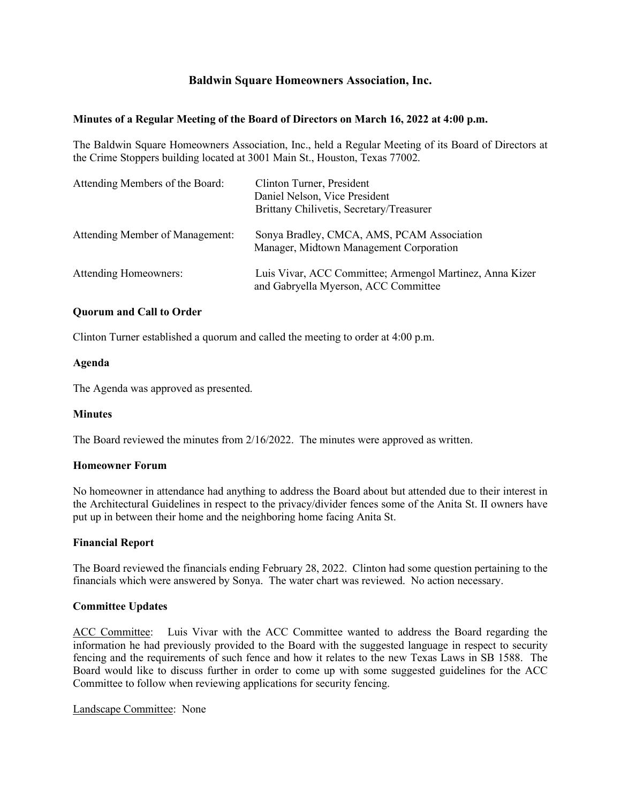# **Baldwin Square Homeowners Association, Inc.**

### **Minutes of a Regular Meeting of the Board of Directors on March 16, 2022 at 4:00 p.m.**

The Baldwin Square Homeowners Association, Inc., held a Regular Meeting of its Board of Directors at the Crime Stoppers building located at 3001 Main St., Houston, Texas 77002.

| Attending Members of the Board: | Clinton Turner, President<br>Daniel Nelson, Vice President<br>Brittany Chilivetis, Secretary/Treasurer |
|---------------------------------|--------------------------------------------------------------------------------------------------------|
| Attending Member of Management: | Sonya Bradley, CMCA, AMS, PCAM Association<br>Manager, Midtown Management Corporation                  |
| Attending Homeowners:           | Luis Vivar, ACC Committee; Armengol Martinez, Anna Kizer<br>and Gabryella Myerson, ACC Committee       |

# **Quorum and Call to Order**

Clinton Turner established a quorum and called the meeting to order at 4:00 p.m.

### **Agenda**

The Agenda was approved as presented.

#### **Minutes**

The Board reviewed the minutes from 2/16/2022. The minutes were approved as written.

# **Homeowner Forum**

No homeowner in attendance had anything to address the Board about but attended due to their interest in the Architectural Guidelines in respect to the privacy/divider fences some of the Anita St. II owners have put up in between their home and the neighboring home facing Anita St.

### **Financial Report**

The Board reviewed the financials ending February 28, 2022. Clinton had some question pertaining to the financials which were answered by Sonya. The water chart was reviewed. No action necessary.

#### **Committee Updates**

ACC Committee: Luis Vivar with the ACC Committee wanted to address the Board regarding the information he had previously provided to the Board with the suggested language in respect to security fencing and the requirements of such fence and how it relates to the new Texas Laws in SB 1588. The Board would like to discuss further in order to come up with some suggested guidelines for the ACC Committee to follow when reviewing applications for security fencing.

#### Landscape Committee: None